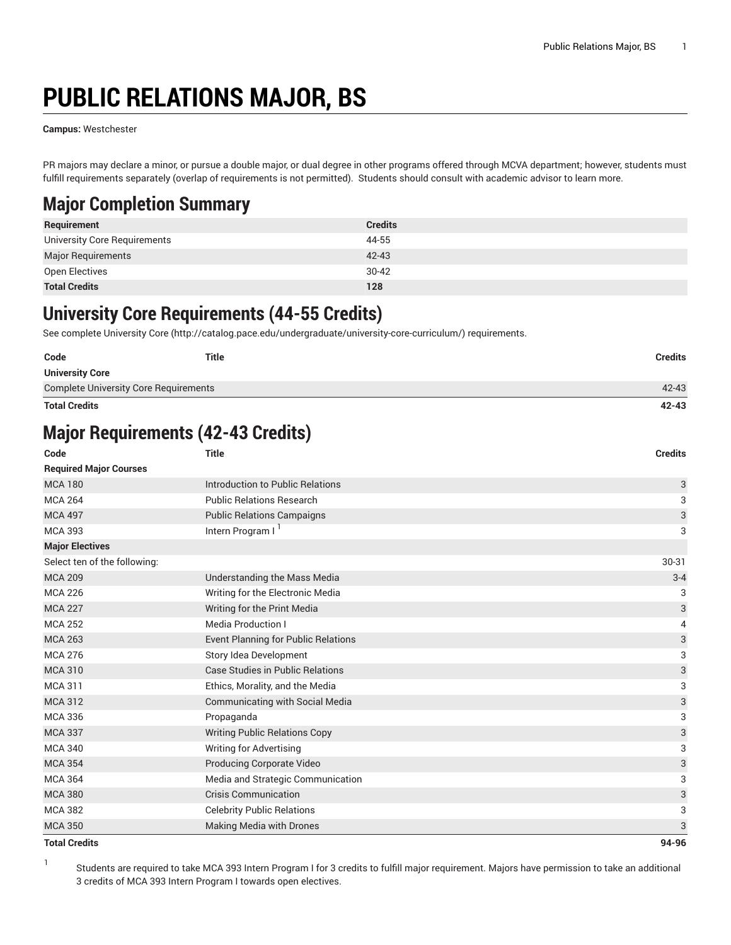# **PUBLIC RELATIONS MAJOR, BS**

**Campus:** Westchester

PR majors may declare a minor, or pursue a double major, or dual degree in other programs offered through MCVA department; however, students must fulfill requirements separately (overlap of requirements is not permitted). Students should consult with academic advisor to learn more.

### **Major Completion Summary**

| Requirement                  | <b>Credits</b> |
|------------------------------|----------------|
| University Core Requirements | 44-55          |
| <b>Major Requirements</b>    | $42 - 43$      |
| Open Electives               | $30 - 42$      |
| <b>Total Credits</b>         | 128            |

### **University Core Requirements (44-55 Credits)**

See complete [University](http://catalog.pace.edu/undergraduate/university-core-curriculum/) Core (<http://catalog.pace.edu/undergraduate/university-core-curriculum/>) requirements.

| $42 - 43$      |
|----------------|
|                |
|                |
| <b>Credits</b> |
|                |

### **Major Requirements (42-43 Credits)**

| Code                          | <b>Title</b>                               | <b>Credits</b> |
|-------------------------------|--------------------------------------------|----------------|
| <b>Required Major Courses</b> |                                            |                |
| <b>MCA 180</b>                | Introduction to Public Relations           | 3              |
| <b>MCA 264</b>                | <b>Public Relations Research</b>           | 3              |
| <b>MCA 497</b>                | <b>Public Relations Campaigns</b>          | 3              |
| <b>MCA 393</b>                | Intern Program I <sup>1</sup>              | 3              |
| <b>Major Electives</b>        |                                            |                |
| Select ten of the following:  |                                            | 30-31          |
| <b>MCA 209</b>                | Understanding the Mass Media               | $3 - 4$        |
| <b>MCA 226</b>                | Writing for the Electronic Media           | 3              |
| <b>MCA 227</b>                | Writing for the Print Media                | 3              |
| <b>MCA 252</b>                | <b>Media Production I</b>                  | 4              |
| <b>MCA 263</b>                | <b>Event Planning for Public Relations</b> | 3              |
| <b>MCA 276</b>                | Story Idea Development                     | 3              |
| <b>MCA 310</b>                | <b>Case Studies in Public Relations</b>    | 3              |
| <b>MCA 311</b>                | Ethics, Morality, and the Media            | 3              |
| <b>MCA 312</b>                | <b>Communicating with Social Media</b>     | 3              |
| <b>MCA 336</b>                | Propaganda                                 | 3              |
| <b>MCA 337</b>                | <b>Writing Public Relations Copy</b>       | 3              |
| <b>MCA 340</b>                | Writing for Advertising                    | 3              |
| <b>MCA 354</b>                | Producing Corporate Video                  | 3              |
| <b>MCA 364</b>                | Media and Strategic Communication          | 3              |
| <b>MCA 380</b>                | <b>Crisis Communication</b>                | 3              |
| <b>MCA 382</b>                | <b>Celebrity Public Relations</b>          | 3              |
| <b>MCA 350</b>                | <b>Making Media with Drones</b>            | 3              |
| <b>Total Credits</b>          |                                            | 94-96          |

1 Students are required to take MCA 393 Intern Program I for 3 credits to fulfill major requirement. Majors have permission to take an additional 3 credits of MCA 393 Intern Program I towards open electives.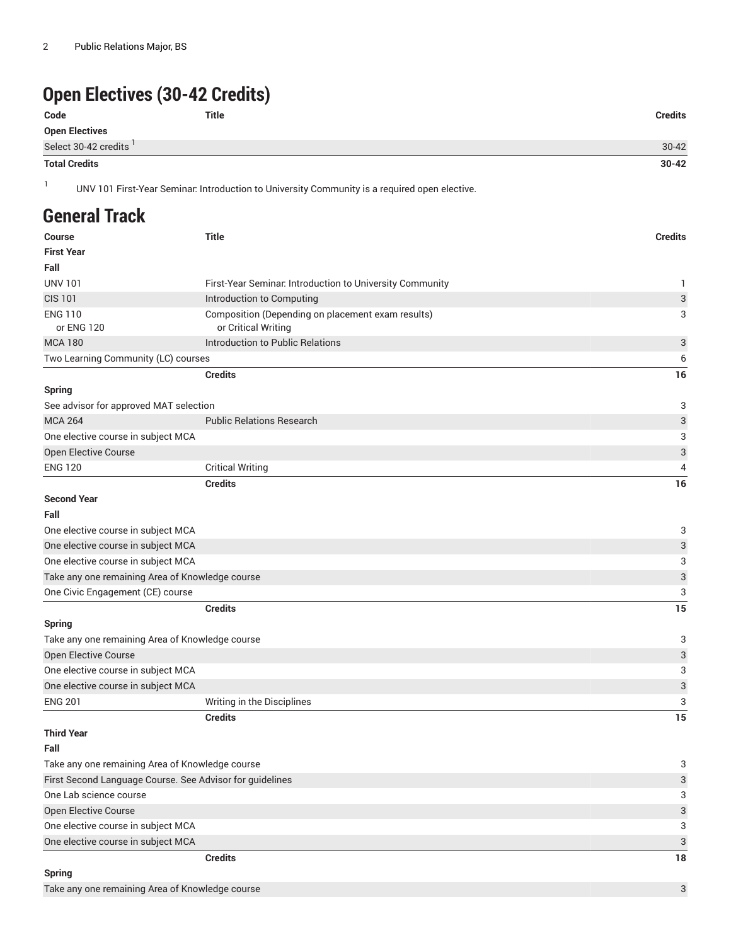## **Open Electives (30-42 Credits)**

| Code                   | Title | <b>Credits</b> |
|------------------------|-------|----------------|
| Open Electives         |       |                |
| Select 30-42 credits ' |       | $30 - 42$      |
| <b>Total Credits</b>   |       | $30 - 42$      |

1

UNV 101 First-Year Seminar: Introduction to University Community is a required open elective.

#### **General Track**

| Course                                                   | <b>Title</b>                                             | <b>Credits</b>            |
|----------------------------------------------------------|----------------------------------------------------------|---------------------------|
| <b>First Year</b>                                        |                                                          |                           |
| Fall                                                     |                                                          |                           |
| <b>UNV 101</b>                                           | First-Year Seminar. Introduction to University Community | 1                         |
| <b>CIS 101</b>                                           | Introduction to Computing                                | $\ensuremath{\mathsf{3}}$ |
| <b>ENG 110</b>                                           | Composition (Depending on placement exam results)        | 3                         |
| or ENG 120                                               | or Critical Writing                                      |                           |
| <b>MCA 180</b>                                           | Introduction to Public Relations                         | 3                         |
| Two Learning Community (LC) courses                      |                                                          | 6                         |
|                                                          | <b>Credits</b>                                           | 16                        |
| <b>Spring</b>                                            |                                                          |                           |
| See advisor for approved MAT selection                   |                                                          | 3                         |
| <b>MCA 264</b>                                           | <b>Public Relations Research</b>                         | 3                         |
| One elective course in subject MCA                       |                                                          | 3                         |
| Open Elective Course                                     |                                                          | $\ensuremath{\mathsf{3}}$ |
| <b>ENG 120</b>                                           | <b>Critical Writing</b>                                  | 4                         |
|                                                          | <b>Credits</b>                                           | 16                        |
| <b>Second Year</b>                                       |                                                          |                           |
| Fall                                                     |                                                          |                           |
| One elective course in subject MCA                       |                                                          | 3                         |
| One elective course in subject MCA                       |                                                          | 3                         |
| One elective course in subject MCA                       |                                                          | 3                         |
| Take any one remaining Area of Knowledge course          |                                                          | 3                         |
| One Civic Engagement (CE) course                         |                                                          | 3                         |
|                                                          | <b>Credits</b>                                           | 15                        |
| Spring                                                   |                                                          |                           |
| Take any one remaining Area of Knowledge course          |                                                          | 3                         |
| Open Elective Course                                     |                                                          | 3                         |
| One elective course in subject MCA                       |                                                          | 3                         |
| One elective course in subject MCA                       |                                                          | 3                         |
| <b>ENG 201</b>                                           | Writing in the Disciplines                               | 3                         |
|                                                          | <b>Credits</b>                                           | 15                        |
| <b>Third Year</b>                                        |                                                          |                           |
| Fall                                                     |                                                          |                           |
| Take any one remaining Area of Knowledge course          |                                                          | 3                         |
| First Second Language Course. See Advisor for guidelines |                                                          | 3                         |
| One Lab science course                                   |                                                          | 3                         |
| Open Elective Course                                     |                                                          | 3                         |
| One elective course in subject MCA                       |                                                          | 3                         |
| One elective course in subject MCA                       |                                                          | 3                         |
|                                                          | <b>Credits</b>                                           | 18                        |
|                                                          |                                                          |                           |

#### **Spring**

Take any one remaining Area of Knowledge course 3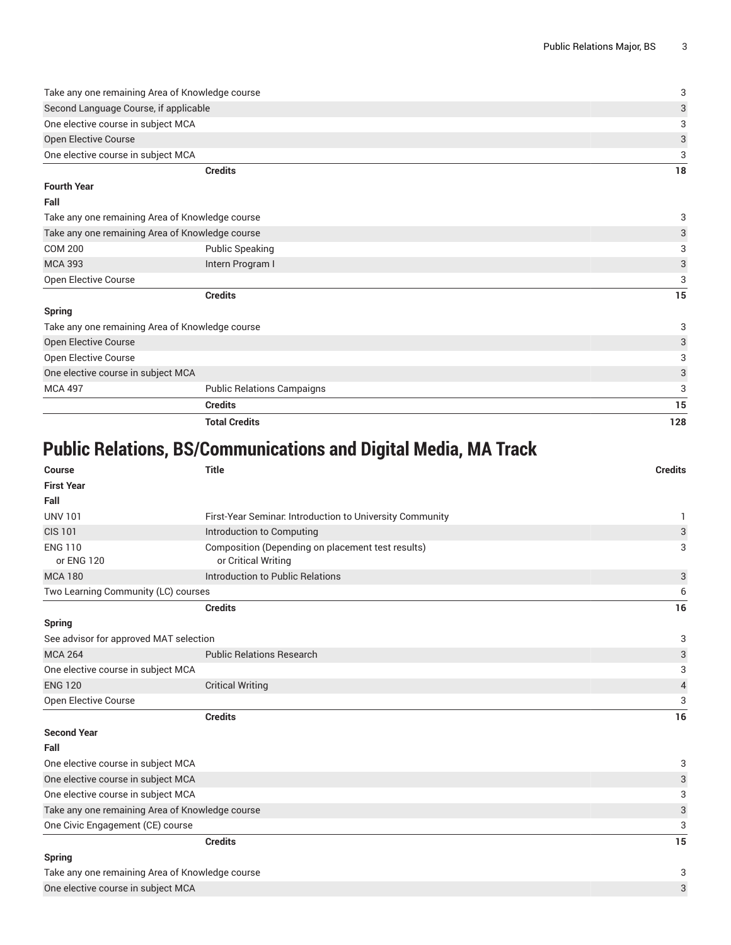| Credits                                         | 18 |
|-------------------------------------------------|----|
| One elective course in subject MCA              | 3  |
| <b>Open Elective Course</b>                     | 3  |
| One elective course in subject MCA              |    |
| Second Language Course, if applicable           | 3  |
| Take any one remaining Area of Knowledge course | 3  |

#### **Fourth Year**

#### **Fall**

| Take any one remaining Area of Knowledge course |                                   | 3  |
|-------------------------------------------------|-----------------------------------|----|
| Take any one remaining Area of Knowledge course |                                   | 3  |
| <b>COM 200</b>                                  | <b>Public Speaking</b>            | 3  |
| <b>MCA 393</b>                                  | Intern Program I                  | 3  |
| Open Elective Course                            |                                   | 3  |
|                                                 | <b>Credits</b>                    | 15 |
| <b>Spring</b>                                   |                                   |    |
| Take any one remaining Area of Knowledge course |                                   | 3  |
| <b>Open Elective Course</b>                     |                                   | 3  |
| Open Elective Course                            |                                   | 3  |
| One elective course in subject MCA              |                                   | 3  |
| <b>MCA 497</b>                                  | <b>Public Relations Campaigns</b> | 3  |
|                                                 | <b>Credits</b>                    | 15 |

**Total Credits 128**

# **Public Relations, BS/Communications and Digital Media, MA Track**

| <b>Course</b>                                   | <b>Title</b>                                                             | <b>Credits</b>           |
|-------------------------------------------------|--------------------------------------------------------------------------|--------------------------|
| <b>First Year</b>                               |                                                                          |                          |
| Fall                                            |                                                                          |                          |
| <b>UNV 101</b>                                  | First-Year Seminar. Introduction to University Community                 | 1                        |
| <b>CIS 101</b>                                  | Introduction to Computing                                                | 3                        |
| <b>ENG 110</b><br>or ENG 120                    | Composition (Depending on placement test results)<br>or Critical Writing | 3                        |
| <b>MCA 180</b>                                  | Introduction to Public Relations                                         | 3                        |
| Two Learning Community (LC) courses             |                                                                          | 6                        |
|                                                 | <b>Credits</b>                                                           | 16                       |
| <b>Spring</b>                                   |                                                                          |                          |
| See advisor for approved MAT selection          |                                                                          | 3                        |
| <b>MCA 264</b>                                  | <b>Public Relations Research</b>                                         | 3                        |
| One elective course in subject MCA              |                                                                          | 3                        |
| <b>ENG 120</b>                                  | <b>Critical Writing</b>                                                  | $\overline{\mathcal{A}}$ |
| Open Elective Course                            |                                                                          | 3                        |
|                                                 | <b>Credits</b>                                                           | 16                       |
| <b>Second Year</b>                              |                                                                          |                          |
| Fall                                            |                                                                          |                          |
| One elective course in subject MCA              |                                                                          | 3                        |
| One elective course in subject MCA              |                                                                          | 3                        |
| One elective course in subject MCA              |                                                                          | 3                        |
| Take any one remaining Area of Knowledge course |                                                                          | 3                        |
| One Civic Engagement (CE) course                |                                                                          | 3                        |
|                                                 | <b>Credits</b>                                                           | 15                       |
| <b>Spring</b>                                   |                                                                          |                          |
| Take any one remaining Area of Knowledge course |                                                                          | 3                        |
| One elective course in subject MCA              |                                                                          | 3                        |